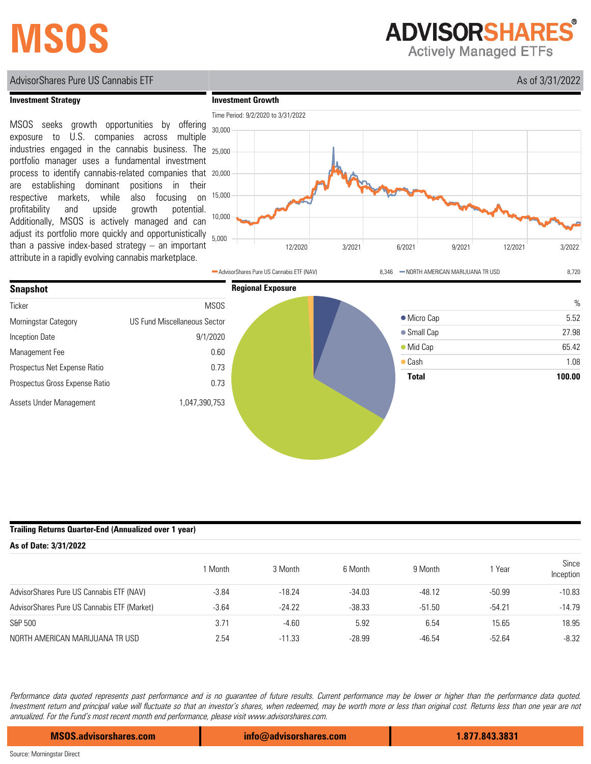# **MSOS**

**ADVISORSHARES** 

**Actively Managed ETFs** 

## AdvisorShares Pure US Cannabis ETF As of 3/31/2022

### **Investment Strategy**

MSOS seeks growth opportunities by offering exposure to U.S. companies across multiple industries engaged in the cannabis business. The portfolio manager uses a fundamental investment process to identify cannabis-related companies that are establishing dominant positions in their respective markets, while also focusing on profitability and upside growth potential. Additionally, MSOS is actively managed and can adjust its portfolio more quickly and opportunistically than a passive index-based strategy – an important attribute in a rapidly evolving cannabis marketplace.





### **Trailing Returns Quarter-End (Annualized over 1 year)**

| As of Date: 3/31/2022                       |         |          |          |          |          |                    |
|---------------------------------------------|---------|----------|----------|----------|----------|--------------------|
|                                             | Month   | 3 Month  | 6 Month  | 9 Month  | 1 Year   | Since<br>Inception |
| AdvisorShares Pure US Cannabis ETF (NAV)    | $-3.84$ | $-18.24$ | $-34.03$ | $-48.12$ | $-50.99$ | $-10.83$           |
| AdvisorShares Pure US Cannabis ETF (Market) | $-3.64$ | $-24.22$ | $-38.33$ | $-51.50$ | $-54.21$ | $-14.79$           |
| S&P 500                                     | 3.71    | $-4.60$  | 5.92     | 6.54     | 15.65    | 18.95              |
| NORTH AMERICAN MARIJUANA TR USD             | 2.54    | $-11.33$ | $-28.99$ | $-46.54$ | $-52.64$ | $-8.32$            |

Performance data quoted represents past performance and is no guarantee of future results. Current performance may be lower or higher than the performance data quoted. Investment return and principal value will fluctuate so that an investor's shares, when redeemed, may be worth more or less than original cost. Returns less than one year are not annualized. For the Fund's most recent month end performance, please visit www.advisorshares.com.

**MSOS.advisorshares.com info@advisorshares.com 1.877.843.3831**

Source: Morningstar Direct